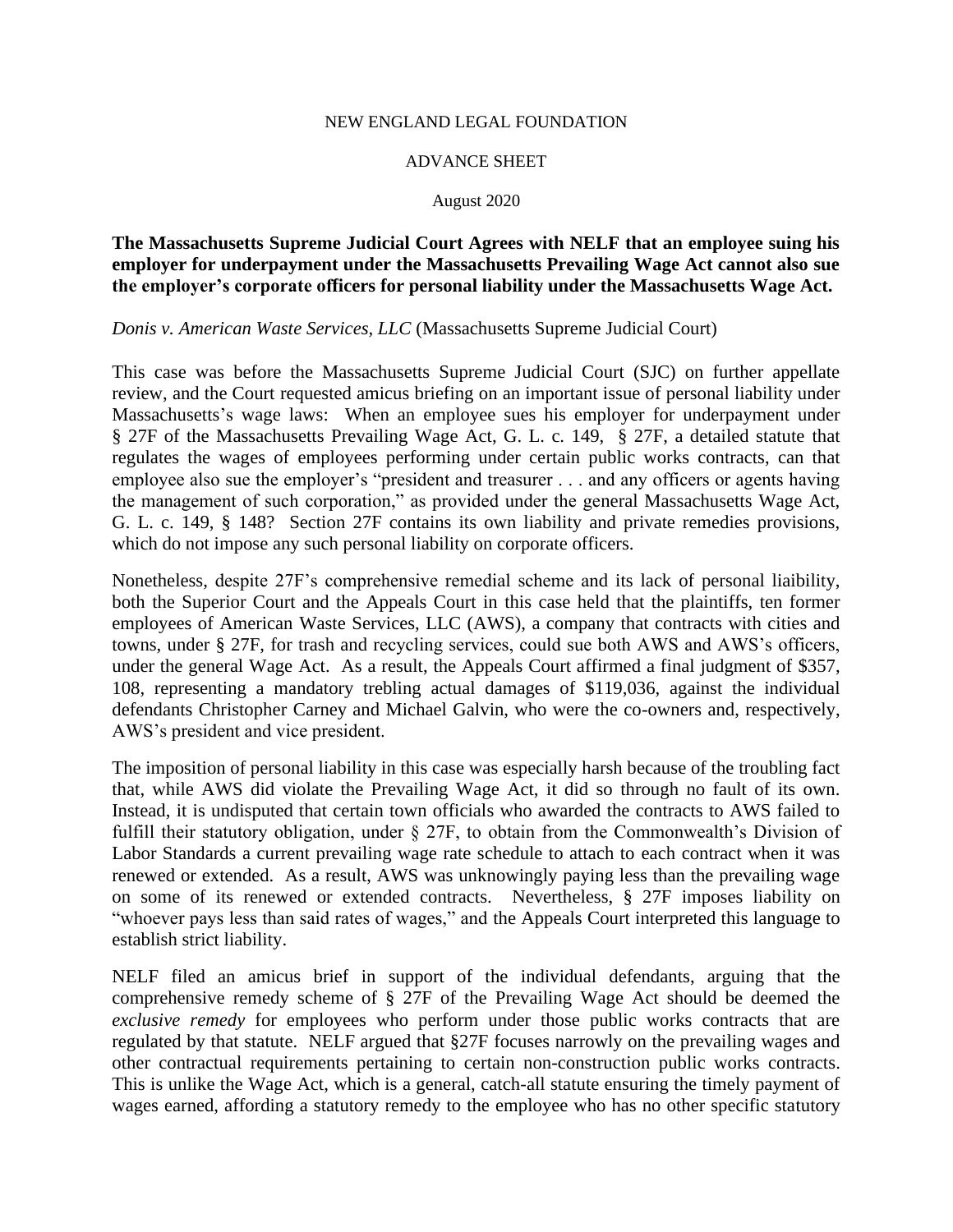## NEW ENGLAND LEGAL FOUNDATION

## ADVANCE SHEET

## August 2020

## **The Massachusetts Supreme Judicial Court Agrees with NELF that an employee suing his employer for underpayment under the Massachusetts Prevailing Wage Act cannot also sue the employer's corporate officers for personal liability under the Massachusetts Wage Act.**

*Donis v. American Waste Services, LLC* (Massachusetts Supreme Judicial Court)

This case was before the Massachusetts Supreme Judicial Court (SJC) on further appellate review, and the Court requested amicus briefing on an important issue of personal liability under Massachusetts's wage laws: When an employee sues his employer for underpayment under § 27F of the Massachusetts Prevailing Wage Act, G. L. c. 149, § 27F, a detailed statute that regulates the wages of employees performing under certain public works contracts, can that employee also sue the employer's "president and treasurer . . . and any officers or agents having the management of such corporation," as provided under the general Massachusetts Wage Act, G. L. c. 149, § 148? Section 27F contains its own liability and private remedies provisions, which do not impose any such personal liability on corporate officers.

Nonetheless, despite 27F's comprehensive remedial scheme and its lack of personal liaibility, both the Superior Court and the Appeals Court in this case held that the plaintiffs, ten former employees of American Waste Services, LLC (AWS), a company that contracts with cities and towns, under § 27F, for trash and recycling services, could sue both AWS and AWS's officers, under the general Wage Act. As a result, the Appeals Court affirmed a final judgment of \$357, 108, representing a mandatory trebling actual damages of \$119,036, against the individual defendants Christopher Carney and Michael Galvin, who were the co-owners and, respectively, AWS's president and vice president.

The imposition of personal liability in this case was especially harsh because of the troubling fact that, while AWS did violate the Prevailing Wage Act, it did so through no fault of its own. Instead, it is undisputed that certain town officials who awarded the contracts to AWS failed to fulfill their statutory obligation, under § 27F, to obtain from the Commonwealth's Division of Labor Standards a current prevailing wage rate schedule to attach to each contract when it was renewed or extended. As a result, AWS was unknowingly paying less than the prevailing wage on some of its renewed or extended contracts. Nevertheless, § 27F imposes liability on "whoever pays less than said rates of wages," and the Appeals Court interpreted this language to establish strict liability.

NELF filed an amicus brief in support of the individual defendants, arguing that the comprehensive remedy scheme of § 27F of the Prevailing Wage Act should be deemed the *exclusive remedy* for employees who perform under those public works contracts that are regulated by that statute. NELF argued that §27F focuses narrowly on the prevailing wages and other contractual requirements pertaining to certain non-construction public works contracts. This is unlike the Wage Act, which is a general, catch-all statute ensuring the timely payment of wages earned, affording a statutory remedy to the employee who has no other specific statutory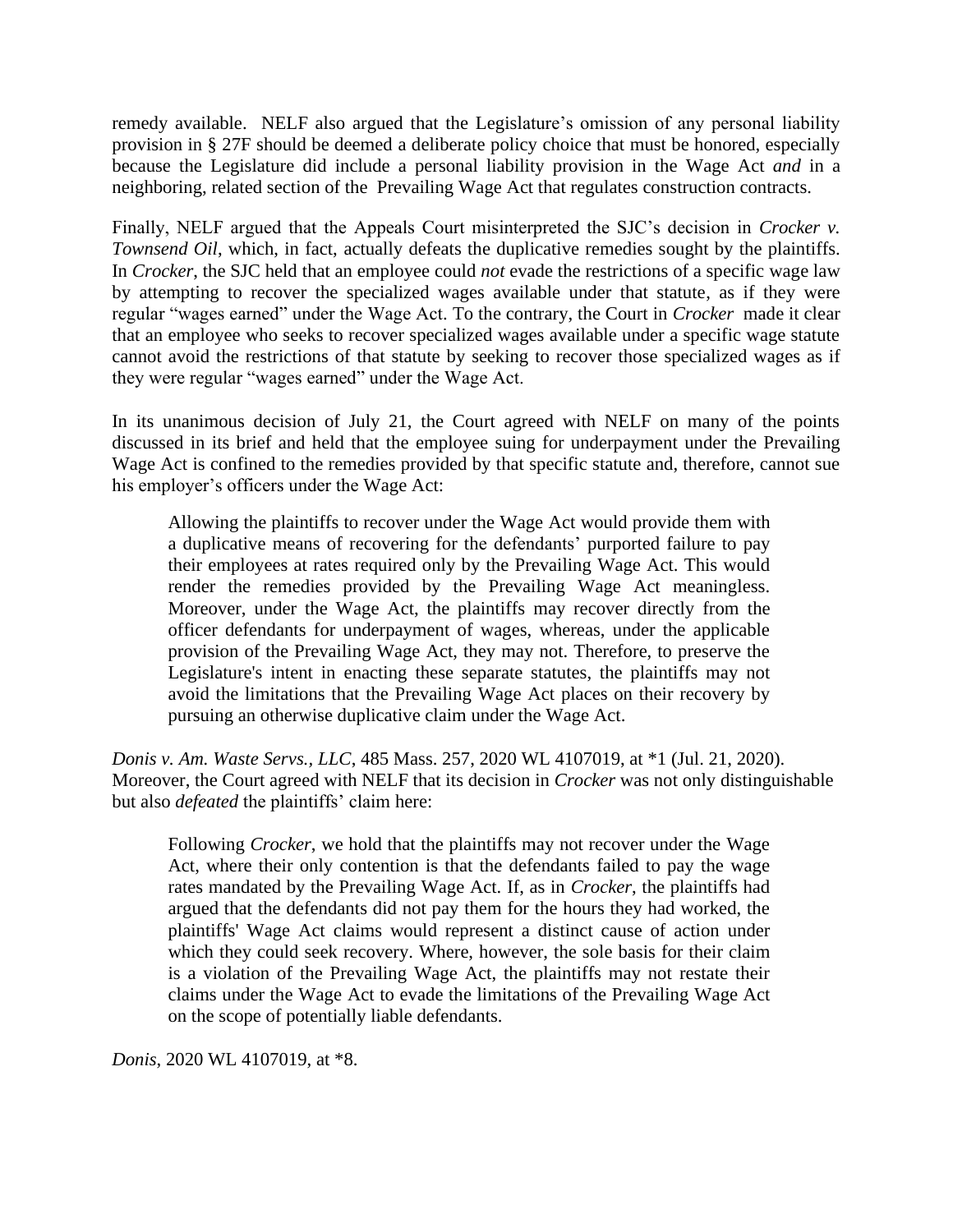remedy available. NELF also argued that the Legislature's omission of any personal liability provision in § 27F should be deemed a deliberate policy choice that must be honored, especially because the Legislature did include a personal liability provision in the Wage Act *and* in a neighboring, related section of the Prevailing Wage Act that regulates construction contracts.

Finally, NELF argued that the Appeals Court misinterpreted the SJC's decision in *Crocker v. Townsend Oil*, which, in fact, actually defeats the duplicative remedies sought by the plaintiffs. In *Crocker*, the SJC held that an employee could *not* evade the restrictions of a specific wage law by attempting to recover the specialized wages available under that statute, as if they were regular "wages earned" under the Wage Act. To the contrary, the Court in *Crocker* made it clear that an employee who seeks to recover specialized wages available under a specific wage statute cannot avoid the restrictions of that statute by seeking to recover those specialized wages as if they were regular "wages earned" under the Wage Act.

In its unanimous decision of July 21, the Court agreed with NELF on many of the points discussed in its brief and held that the employee suing for underpayment under the Prevailing Wage Act is confined to the remedies provided by that specific statute and, therefore, cannot sue his employer's officers under the Wage Act:

Allowing the plaintiffs to recover under the Wage Act would provide them with a duplicative means of recovering for the defendants' purported failure to pay their employees at rates required only by the Prevailing Wage Act. This would render the remedies provided by the Prevailing Wage Act meaningless. Moreover, under the Wage Act, the plaintiffs may recover directly from the officer defendants for underpayment of wages, whereas, under the applicable provision of the Prevailing Wage Act, they may not. Therefore, to preserve the Legislature's intent in enacting these separate statutes, the plaintiffs may not avoid the limitations that the Prevailing Wage Act places on their recovery by pursuing an otherwise duplicative claim under the Wage Act.

*Donis v. Am. Waste Servs., LLC*, 485 Mass. 257, 2020 WL 4107019, at \*1 (Jul. 21, 2020). Moreover, the Court agreed with NELF that its decision in *Crocker* was not only distinguishable but also *defeated* the plaintiffs' claim here:

Following *Crocker*, we hold that the plaintiffs may not recover under the Wage Act, where their only contention is that the defendants failed to pay the wage rates mandated by the Prevailing Wage Act. If, as in *Crocker*, the plaintiffs had argued that the defendants did not pay them for the hours they had worked, the plaintiffs' Wage Act claims would represent a distinct cause of action under which they could seek recovery. Where, however, the sole basis for their claim is a violation of the Prevailing Wage Act, the plaintiffs may not restate their claims under the Wage Act to evade the limitations of the Prevailing Wage Act on the scope of potentially liable defendants.

*Donis*, 2020 WL 4107019, at \*8.